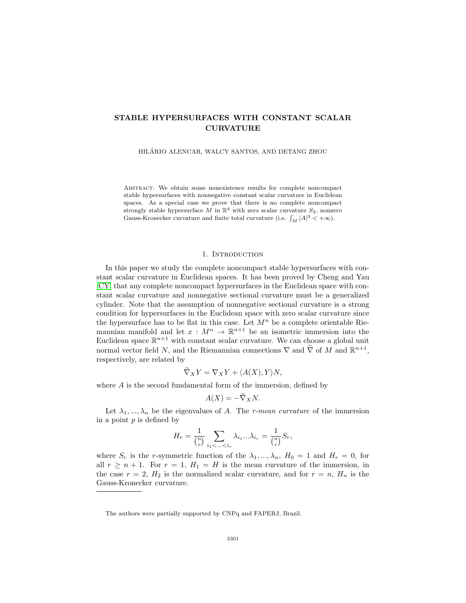# **STABLE HYPERSURFACES WITH CONSTANT SCALAR CURVATURE**

HILARIO ALENCAR, WALCY SANTOS, AND DETANG ZHOU ´

Abstract. We obtain some nonexistence results for complete noncompact stable hypersurfaces with nonnegative constant scalar curvature in Euclidean spaces. As a special case we prove that there is no complete noncompact strongly stable hypersurface M in  $\mathbb{R}^4$  with zero scalar curvature  $S_2$ , nonzero Gauss-Kronecker curvature and finite total curvature (i.e.  $\int_M |A|^3 < +\infty$ ).

#### 1. Introduction

In this paper we study the complete noncompact stable hypersurfaces with constant scalar curvature in Euclidean spaces. It has been proved by Cheng and Yau [\[CY\]](#page-11-0) that any complete noncompact hypersurfaces in the Euclidean space with constant scalar curvature and nonnegative sectional curvature must be a generalized cylinder. Note that the assumption of nonnegative sectional curvature is a strong condition for hypersurfaces in the Euclidean space with zero scalar curvature since the hypersurface has to be flat in this case. Let  $M^n$  be a complete orientable Riemannian manifold and let  $x : M^n \to \mathbb{R}^{n+1}$  be an isometric immersion into the Euclidean space  $\mathbb{R}^{n+1}$  with constant scalar curvature. We can choose a global unit normal vector field N, and the Riemannian connections  $\nabla$  and  $\nabla$  of M and  $\mathbb{R}^{n+1}$ , respectively, are related by

$$
\nabla_X Y = \nabla_X Y + \langle A(X), Y \rangle N,
$$

where  $A$  is the second fundamental form of the immersion, defined by

$$
A(X) = -\nabla_X N.
$$

Let  $\lambda_1, ..., \lambda_n$  be the eigenvalues of A. The *r-mean curvature* of the immersion in a point  $p$  is defined by

$$
H_r = \frac{1}{\binom{n}{r}} \sum_{i_1 < \ldots < i_r} \lambda_{i_1} \ldots \lambda_{i_r} = \frac{1}{\binom{n}{r}} S_r,
$$

where  $S_r$  is the r-symmetric function of the  $\lambda_1, ..., \lambda_n$ ,  $H_0 = 1$  and  $H_r = 0$ , for all  $r \geq n+1$ . For  $r = 1$ ,  $H_1 = H$  is the mean curvature of the immersion, in the case  $r = 2$ ,  $H_2$  is the normalized scalar curvature, and for  $r = n$ ,  $H_n$  is the Gauss-Kronecker curvature.

The authors were partially supported by CNPq and FAPERJ, Brazil.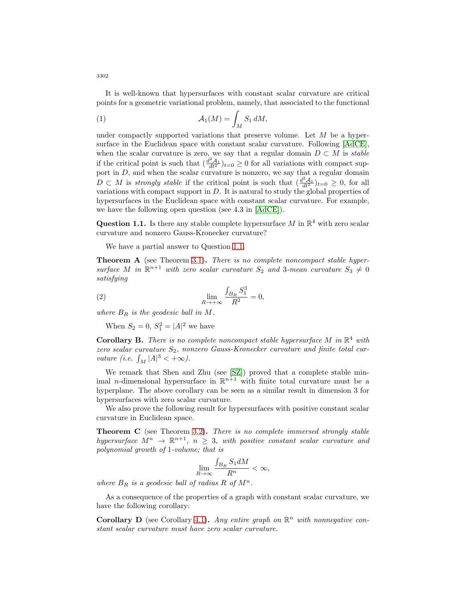It is well-known that hypersurfaces with constant scalar curvature are critical points for a geometric variational problem, namely, that associated to the functional

(1) 
$$
\mathcal{A}_1(M) = \int_M S_1 \, dM,
$$

under compactly supported variations that preserve volume. Let  $M$  be a hypersurface in the Euclidean space with constant scalar curvature. Following [\[AdCE\]](#page-11-1), when the scalar curvature is zero, we say that a regular domain  $D \subset M$  is stable if the critical point is such that  $\left(\frac{d^2A_1}{dt^2}\right)_{t=0} \geq 0$  for all variations with compact support in D, and when the scalar curvature is nonzero, we say that a regular domain  $D \subset M$  is strongly stable if the critical point is such that  $\left(\frac{d^2 A_1}{dt^2}\right)_{t=0} \geq 0$ , for all variations with compact support in  $D$ . It is natural to study the global properties of hypersurfaces in the Euclidean space with constant scalar curvature. For example, we have the following open question (see 4.3 in [\[AdCE\]](#page-11-1)).

<span id="page-1-0"></span>**Question 1.1.** Is there any stable complete hypersurface M in  $\mathbb{R}^4$  with zero scalar curvature and nonzero Gauss-Kronecker curvature?

We have a partial answer to Question [1.1.](#page-1-0)

**Theorem A** (see Theorem [3.1\)](#page-4-0). There is no complete noncompact stable hypersurface M in  $\mathbb{R}^{n+1}$  with zero scalar curvature  $S_2$  and 3-mean curvature  $S_3 \neq 0$ satisfying

(2) 
$$
\lim_{R \to +\infty} \frac{\int_{B_R} S_1^3}{R^2} = 0,
$$

where  $B_R$  is the geodesic ball in M.

When  $S_2 = 0, S_1^2 = |A|^2$  we have

**Corollary B.** There is no complete noncompact stable hypersurface M in  $\mathbb{R}^4$  with zero scalar curvature  $S_2$ , nonzero Gauss-Kronecker curvature and finite total curvature (i.e.  $\int_M |A|^3 < +\infty$ ).

We remark that Shen and Zhu (see [\[SZ\]](#page-11-2)) proved that a complete stable minimal *n*-dimensional hypersurface in  $\mathbb{R}^{n+1}$  with finite total curvature must be a hyperplane. The above corollary can be seen as a similar result in dimension 3 for hypersurfaces with zero scalar curvature.

We also prove the following result for hypersurfaces with positive constant scalar curvature in Euclidean space.

**Theorem C** (see Theorem [3.2\)](#page-7-0)**.** There is no complete immersed strongly stable hypersurface  $M^n \to \mathbb{R}^{n+1}$ ,  $n \geq 3$ , with positive constant scalar curvature and polynomial growth of 1-volume; that is

$$
\lim_{R\to\infty}\frac{\int_{B_R}S_1dM}{R^n}<\infty,
$$

where  $B_R$  is a geodesic ball of radius R of  $M^n$ .

As a consequence of the properties of a graph with constant scalar curvature, we have the following corollary:

**Corollary D** (see Corollary [4.1\)](#page-10-0). Any entire graph on  $\mathbb{R}^n$  with nonnegative constant scalar curvature must have zero scalar curvature.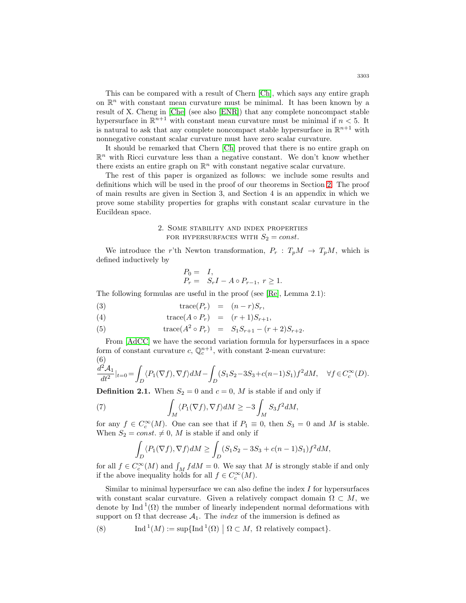This can be compared with a result of Chern [\[Ch\]](#page-11-3), which says any entire graph on  $\mathbb{R}^n$  with constant mean curvature must be minimal. It has been known by a result of X. Cheng in [\[Che\]](#page-11-4) (see also [\[ENR\]](#page-11-5)) that any complete noncompact stable hypersurface in  $\mathbb{R}^{n+1}$  with constant mean curvature must be minimal if  $n < 5$ . It is natural to ask that any complete noncompact stable hypersurface in  $\mathbb{R}^{n+1}$  with nonnegative constant scalar curvature must have zero scalar curvature.

It should be remarked that Chern [\[Ch\]](#page-11-3) proved that there is no entire graph on  $\mathbb{R}^n$  with Ricci curvature less than a negative constant. We don't know whether there exists an entire graph on  $\mathbb{R}^n$  with constant negative scalar curvature.

The rest of this paper is organized as follows: we include some results and definitions which will be used in the proof of our theorems in Section [2.](#page-2-0) The proof of main results are given in Section 3, and Section 4 is an appendix in which we prove some stability properties for graphs with constant scalar curvature in the Eucildean space.

### 2. Some stability and index properties FOR HYPERSURFACES WITH  $S_2 = const.$

<span id="page-2-0"></span>We introduce the r'th Newton transformation,  $P_r$ :  $T_pM \rightarrow T_pM$ , which is defined inductively by

$$
\begin{array}{rcl} P_0=&I,\\ P_r=&S_rI-A\circ P_{r-1},\;r\geq 1.\end{array}
$$

The following formulas are useful in the proof (see [\[Re\]](#page-11-6), Lemma 2.1):

<span id="page-2-2"></span>(3) 
$$
\operatorname{trace}(P_r) = (n-r)S_r,
$$

(4) 
$$
\operatorname{trace}(A \circ P_r) = (r+1)S_{r+1},
$$

(5) 
$$
\text{trace}(A^2 \circ P_r) = S_1 S_{r+1} - (r+2) S_{r+2}.
$$

From [\[AdCC\]](#page-11-7) we have the second variation formula for hypersurfaces in a space form of constant curvature  $c, \mathbb{Q}_c^{n+1}$ , with constant 2-mean curvature: (6)

$$
\frac{d^2\mathcal{A}_1}{dt^2}\vert_{t=0}=\int_D\langle P_1(\nabla f),\nabla f\rangle dM-\int_D(S_1S_2-3S_3+c(n-1)S_1)f^2dM,\quad\forall f\in C_c^\infty(D).
$$

**Definition 2.1.** When  $S_2 = 0$  and  $c = 0$ , M is stable if and only if

(7) 
$$
\int_M \langle P_1(\nabla f), \nabla f \rangle dM \ge -3 \int_M S_3 f^2 dM,
$$

for any  $f \in C_c^{\infty}(M)$ . One can see that if  $P_1 \equiv 0$ , then  $S_3 = 0$  and M is stable. When  $S_2 = const. \neq 0$ , M is stable if and only if

<span id="page-2-1"></span>
$$
\int_D \langle P_1(\nabla f), \nabla f \rangle dM \ge \int_D (S_1S_2 - 3S_3 + c(n-1)S_1) f^2 dM,
$$

for all  $f \in C_c^{\infty}(M)$  and  $\int_M f dM = 0$ . We say that M is strongly stable if and only if the above inequality holds for all  $f \in C_c^{\infty}(M)$ .

Similar to minimal hypersurface we can also define the index  $I$  for hypersurfaces with constant scalar curvature. Given a relatively compact domain  $\Omega \subset M$ , we denote by Ind  $(1)(\Omega)$  the number of linearly independent normal deformations with support on  $\Omega$  that decrease  $\mathcal{A}_1$ . The *index* of the immersion is defined as

(8) Ind<sup>1</sup>(M) := sup{Ind<sup>1</sup>(
$$
\Omega
$$
) |  $\Omega \subset M$ ,  $\Omega$  relatively compact}.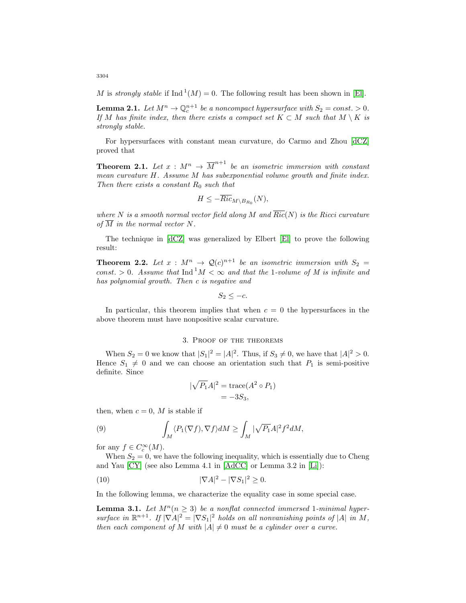M is strongly stable if Ind  $^1(M) = 0$ . The following result has been shown in [\[El\]](#page-11-8).

**Lemma 2.1.** Let  $M^n \to \mathbb{Q}_c^{n+1}$  be a noncompact hypersurface with  $S_2 = const. > 0$ . If M has finite index, then there exists a compact set  $K \subset M$  such that  $M \setminus K$  is strongly stable.

For hypersurfaces with constant mean curvature, do Carmo and Zhou [\[dCZ\]](#page-11-9) proved that

**Theorem 2.1.** Let  $x : M^n \to \overline{M}^{n+1}$  be an isometric immersion with constant mean curvature H. Assume M has subexponential volume growth and finite index. Then there exists a constant  $R_0$  such that

$$
H \leq -\overline{Ric}_{M \setminus B_{R_0}}(N),
$$

where N is a smooth normal vector field along M and  $\overline{Ric}(N)$  is the Ricci curvature of  $\overline{M}$  in the normal vector N.

<span id="page-3-2"></span>The technique in [\[dCZ\]](#page-11-9) was generalized by Elbert [\[El\]](#page-11-8) to prove the following result:

**Theorem 2.2.** Let  $x : M^n \to \mathcal{Q}(c)^{n+1}$  be an isometric immersion with  $S_2 =$ const. > 0. Assume that  $\text{Ind}^{1} M < \infty$  and that the 1-volume of M is infinite and has polynomial growth. Then c is negative and

$$
S_2 \leq -c.
$$

In particular, this theorem implies that when  $c = 0$  the hypersurfaces in the above theorem must have nonpositive scalar curvature.

### 3. Proof of the theorems

When  $S_2 = 0$  we know that  $|S_1|^2 = |A|^2$ . Thus, if  $S_3 \neq 0$ , we have that  $|A|^2 > 0$ . Hence  $S_1 \neq 0$  and we can choose an orientation such that  $P_1$  is semi-positive definite. Since

<span id="page-3-0"></span>
$$
|\sqrt{P_1}A|^2 = \text{trace}(A^2 \circ P_1)
$$
  
= -3S<sub>3</sub>,

then, when  $c = 0$ , M is stable if

(9) 
$$
\int_M \langle P_1(\nabla f), \nabla f \rangle dM \ge \int_M |\sqrt{P_1}A|^2 f^2 dM,
$$

for any  $f \in C_c^{\infty}(M)$ .

When  $S_2 = 0$ , we have the following inequality, which is essentially due to Cheng and Yau [\[CY\]](#page-11-0) (see also Lemma 4.1 in [\[AdCC\]](#page-11-7) or Lemma 3.2 in [\[Li\]](#page-11-10)):

$$
|\nabla A|^2 - |\nabla S_1|^2 \ge 0.
$$

<span id="page-3-1"></span>In the following lemma, we characterize the equality case in some special case.

**Lemma 3.1.** Let  $M^n(n \geq 3)$  be a nonflat connected immersed 1-minimal hypersurface in  $\mathbb{R}^{n+1}$ . If  $|\nabla A|^2 = |\nabla S_1|^2$  holds on all nonvanishing points of  $|A|$  in M, then each component of M with  $|A| \neq 0$  must be a cylinder over a curve.

3304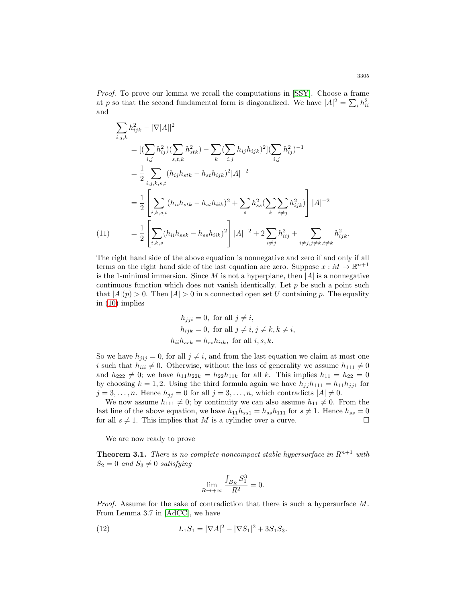Proof. To prove our lemma we recall the computations in [\[SSY\]](#page-11-11). Choose a frame at p so that the second fundamental form is diagonalized. We have  $|A|^2 = \sum_i h_{ii}^2$ and

$$
\sum_{i,j,k} h_{ijk}^2 - |\nabla |A||^2
$$
\n
$$
= [(\sum_{i,j} h_{ij}^2)(\sum_{s,t,k} h_{stk}^2) - \sum_k (\sum_{i,j} h_{ij} h_{ijk})^2](\sum_{i,j} h_{ij}^2)^{-1}
$$
\n
$$
= \frac{1}{2} \sum_{i,j,k,s,t} (h_{ij} h_{stk} - h_{st} h_{ijk})^2 |A|^{-2}
$$
\n
$$
= \frac{1}{2} \left[ \sum_{i,k,s,t} (h_{ii} h_{stk} - h_{st} h_{iik})^2 + \sum_s h_{ss}^2 (\sum_k \sum_{i \neq j} h_{ijk}^2) \right] |A|^{-2}
$$
\n
$$
(11) = \frac{1}{2} \left[ \sum_{i,k,s} (h_{ii} h_{ssk} - h_{ss} h_{iik})^2 \right] |A|^{-2} + 2 \sum_{i \neq j} h_{iij}^2 + \sum_{i \neq j, j \neq k, i \neq k} h_{ijk}^2.
$$

The right hand side of the above equation is nonnegative and zero if and only if all terms on the right hand side of the last equation are zero. Suppose  $x : M \to \mathbb{R}^{n+1}$ is the 1-minimal immersion. Since  $M$  is not a hyperplane, then  $|A|$  is a nonnegative continuous function which does not vanish identically. Let  $p$  be such a point such that  $|A|(p) > 0$ . Then  $|A| > 0$  in a connected open set U containing p. The equality in [\(10\)](#page-3-0) implies

$$
h_{jji} = 0, \text{ for all } j \neq i,
$$
  
\n
$$
h_{ijk} = 0, \text{ for all } j \neq i, j \neq k, k \neq i,
$$
  
\n
$$
h_{ii}h_{ssk} = h_{ss}h_{iik}, \text{ for all } i, s, k.
$$

So we have  $h_{jij} = 0$ , for all  $j \neq i$ , and from the last equation we claim at most one i such that  $h_{iii} \neq 0$ . Otherwise, without the loss of generality we assume  $h_{111} \neq 0$ and  $h_{222} \neq 0$ ; we have  $h_{11}h_{22k} = h_{22}h_{11k}$  for all k. This implies  $h_{11} = h_{22} = 0$ by choosing  $k = 1, 2$ . Using the third formula again we have  $h_{jj}h_{111} = h_{11}h_{jj1}$  for  $j = 3, \ldots, n$ . Hence  $h_{jj} = 0$  for all  $j = 3, \ldots, n$ , which contradicts  $|A| \neq 0$ .

We now assume  $h_{111} \neq 0$ ; by continuity we can also assume  $h_{11} \neq 0$ . From the last line of the above equation, we have  $h_{11}h_{ss1} = h_{ss}h_{111}$  for  $s \neq 1$ . Hence  $h_{ss} = 0$ for all  $s \neq 1$ . This implies that M is a cylinder over a curve.

We are now ready to prove

<span id="page-4-0"></span>**Theorem 3.1.** There is no complete noncompact stable hypersurface in  $R^{n+1}$  with  $S_2 = 0$  and  $S_3 \neq 0$  satisfying

<span id="page-4-1"></span>
$$
\lim_{R \to +\infty} \frac{\int_{B_R} S_1^3}{R^2} = 0.
$$

*Proof.* Assume for the sake of contradiction that there is such a hypersurface  $M$ . From Lemma 3.7 in [\[AdCC\]](#page-11-7), we have

(12) 
$$
L_1S_1 = |\nabla A|^2 - |\nabla S_1|^2 + 3S_1S_3.
$$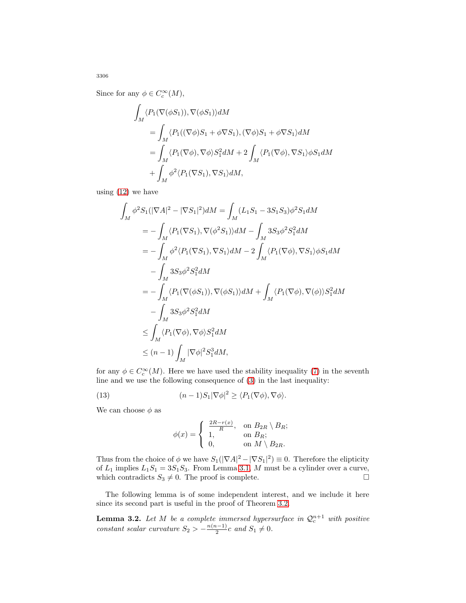Since for any  $\phi \in C_c^{\infty}(M)$ ,

$$
\begin{aligned} &\int_M \langle P_1(\nabla(\phi S_1)), \nabla(\phi S_1) \rangle dM \\ &= \int_M \langle P_1((\nabla \phi)S_1 + \phi \nabla S_1), (\nabla \phi)S_1 + \phi \nabla S_1 \rangle dM \\ &= \int_M \langle P_1(\nabla \phi), \nabla \phi \rangle S_1^2 dM + 2 \int_M \langle P_1(\nabla \phi), \nabla S_1 \rangle \phi S_1 dM \\ &+ \int_M \phi^2 \langle P_1(\nabla S_1), \nabla S_1 \rangle dM, \end{aligned}
$$

using  $(12)$  we have

$$
\int_{M} \phi^{2} S_{1}(|\nabla A|^{2} - |\nabla S_{1}|^{2}) dM = \int_{M} (L_{1}S_{1} - 3S_{1}S_{3}) \phi^{2} S_{1} dM
$$
\n
$$
= -\int_{M} \langle P_{1}(\nabla S_{1}), \nabla(\phi^{2} S_{1}) \rangle dM - \int_{M} 3S_{3} \phi^{2} S_{1}^{2} dM
$$
\n
$$
= -\int_{M} \phi^{2} \langle P_{1}(\nabla S_{1}), \nabla S_{1} \rangle dM - 2 \int_{M} \langle P_{1}(\nabla \phi), \nabla S_{1} \rangle \phi S_{1} dM
$$
\n
$$
- \int_{M} 3S_{3} \phi^{2} S_{1}^{2} dM
$$
\n
$$
= -\int_{M} \langle P_{1}(\nabla(\phi S_{1})), \nabla(\phi S_{1}) \rangle dM + \int_{M} \langle P_{1}(\nabla \phi), \nabla(\phi) \rangle S_{1}^{2} dM
$$
\n
$$
- \int_{M} 3S_{3} \phi^{2} S_{1}^{2} dM
$$
\n
$$
\leq \int_{M} \langle P_{1}(\nabla \phi), \nabla \phi \rangle S_{1}^{2} dM
$$
\n
$$
\leq (n-1) \int_{M} |\nabla \phi|^{2} S_{1}^{3} dM,
$$

for any  $\phi \in C_c^{\infty}(M)$ . Here we have used the stability inequality [\(7\)](#page-2-1) in the seventh line and we use the following consequence of [\(3\)](#page-2-2) in the last inequality:

(13) 
$$
(n-1)S_1|\nabla\phi|^2 \geq \langle P_1(\nabla\phi), \nabla\phi \rangle.
$$

We can choose  $\phi$  as

<span id="page-5-0"></span>
$$
\phi(x) = \begin{cases} \frac{2R - r(x)}{R}, & \text{on } B_{2R} \setminus B_R; \\ 1, & \text{on } B_R; \\ 0, & \text{on } M \setminus B_{2R}. \end{cases}
$$

Thus from the choice of  $\phi$  we have  $S_1(|\nabla A|^2 - |\nabla S_1|^2) \equiv 0$ . Therefore the elipticity of  $L_1$  implies  $L_1S_1 = 3S_1S_3$ . From Lemma [3.1,](#page-3-1) M must be a cylinder over a curve, which contradicts  $S_3 \neq 0$ . The proof is complete.  $\Box$ 

<span id="page-5-1"></span>The following lemma is of some independent interest, and we include it here since its second part is useful in the proof of Theorem [3.2.](#page-7-0)

**Lemma 3.2.** Let M be a complete immersed hypersurface in  $\mathcal{Q}_c^{n+1}$  with positive constant scalar curvature  $S_2 > -\frac{n(n-1)}{2}c$  and  $S_1 \neq 0$ .

3306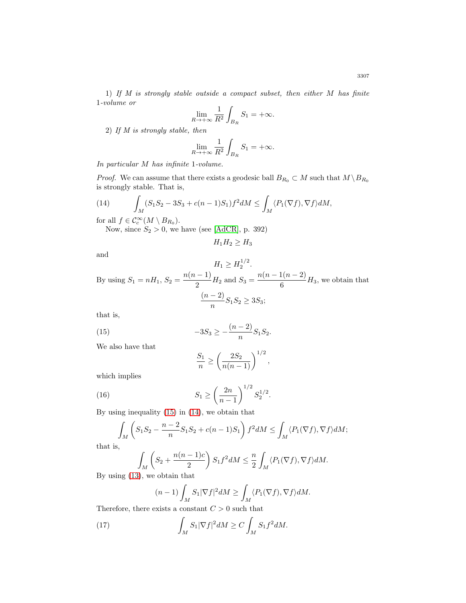1) If M is strongly stable outside a compact subset, then either M has finite 1-volume or

$$
\lim_{R \to +\infty} \frac{1}{R^2} \int_{B_R} S_1 = +\infty.
$$

2) If M is strongly stable, then

$$
\lim_{R \to +\infty} \frac{1}{R^2} \int_{B_R} S_1 = +\infty.
$$

In particular M has infinite 1-volume.

<span id="page-6-1"></span>*Proof.* We can assume that there exists a geodesic ball  $B_{R_0} \subset M$  such that  $M \setminus B_{R_0}$ is strongly stable. That is,

(14) 
$$
\int_M (S_1S_2 - 3S_3 + c(n-1)S_1)f^2 dM \le \int_M \langle P_1(\nabla f), \nabla f \rangle dM,
$$

for all  $f \in \mathcal{C}_c^{\infty}(M \setminus B_{R_0}).$ 

Now, since  $S_2 > 0$ , we have (see [\[AdCR\]](#page-11-12), p. 392)

$$
H_1H_2 \geq H_3
$$

and

 $H_1 \geq H_2^{1/2}.$ By using  $S_1 = nH_1$ ,  $S_2 = \frac{n(n-1)}{2}H_2$  and  $S_3 = \frac{n(n-1(n-2))}{6}H_3$ , we obtain that  $(n-2)$  $\frac{2}{n}S_1S_2 \ge 3S_3;$ 

<span id="page-6-0"></span>that is,

(15) 
$$
-3S_3 \ge -\frac{(n-2)}{n}S_1S_2.
$$

We also have that

$$
\frac{S_1}{n} \ge \left(\frac{2S_2}{n(n-1)}\right)^{1/2},\,
$$

which implies

(16) 
$$
S_1 \ge \left(\frac{2n}{n-1}\right)^{1/2} S_2^{1/2}.
$$

By using inequality [\(15\)](#page-6-0) in [\(14\)](#page-6-1), we obtain that

$$
\int_M \left( S_1 S_2 - \frac{n-2}{n} S_1 S_2 + c(n-1) S_1 \right) f^2 dM \le \int_M \langle P_1(\nabla f), \nabla f \rangle dM;
$$

that is,

$$
\int_M \left(S_2 + \frac{n(n-1)c}{2}\right) S_1 f^2 dM \leq \frac{n}{2} \int_M \langle P_1(\nabla f), \nabla f \rangle dM.
$$

By using [\(13\)](#page-5-0), we obtain that

$$
(n-1)\int_M S_1|\nabla f|^2 dM \ge \int_M \langle P_1(\nabla f), \nabla f \rangle dM.
$$

Therefore, there exists a constant  $C > 0$  such that

(17) 
$$
\int_M S_1 |\nabla f|^2 dM \ge C \int_M S_1 f^2 dM.
$$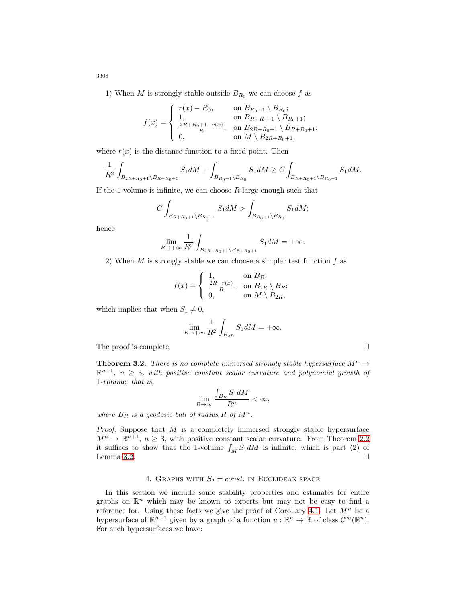1) When M is strongly stable outside  $B_{R_0}$  we can choose f as

$$
f(x) = \begin{cases} r(x) - R_0, & \text{on } B_{R_0+1} \setminus B_{R_0}; \\ 1, & \text{on } B_{R+R_0+1} \setminus B_{R_0+1}; \\ \frac{2R+R_0+1-r(x)}{R}, & \text{on } B_{2R+R_0+1} \setminus B_{R+R_0+1}; \\ 0, & \text{on } M \setminus B_{2R+R_0+1}, \end{cases}
$$

where  $r(x)$  is the distance function to a fixed point. Then

$$
\frac{1}{R^2} \int_{B_{2R+R_0+1} \backslash B_{R+R_0+1}} S_1 dM + \int_{B_{R_0+1} \backslash B_{R_0}} S_1 dM \geq C \int_{B_{R+R_0+1} \backslash B_{R_0+1}} S_1 dM.
$$

If the 1-volume is infinite, we can choose  $R$  large enough such that

$$
C\int_{B_{R+R_0+1}\backslash B_{R_0+1}}S_1dM>\int_{B_{R_0+1}\backslash B_{R_0}}S_1dM;
$$

hence

$$
\lim_{R\to+\infty}\frac{1}{R^2}\int_{B_{2R+R_0+1}\backslash B_{R+R_0+1}}S_1dM=+\infty.
$$

2) When  $M$  is strongly stable we can choose a simpler test function  $f$  as

$$
f(x) = \begin{cases} 1, & \text{on } B_R; \\ \frac{2R - r(x)}{R}, & \text{on } B_{2R} \setminus B_R; \\ 0, & \text{on } M \setminus B_{2R}, \end{cases}
$$

which implies that when  $S_1 \neq 0$ ,

$$
\lim_{R \to +\infty} \frac{1}{R^2} \int_{B_{2R}} S_1 dM = +\infty.
$$

The proof is complete.  $\Box$ 

<span id="page-7-0"></span>**Theorem 3.2.** There is no complete immersed strongly stable hypersurface  $M^n \rightarrow$  $\mathbb{R}^{n+1}$ ,  $n \geq 3$ , with positive constant scalar curvature and polynomial growth of 1-volume; that is,

$$
\lim_{R\to\infty}\frac{\int_{B_R}S_1dM}{R^n}<\infty,
$$

where  $B_R$  is a geodesic ball of radius R of  $M^n$ .

*Proof.* Suppose that  $M$  is a completely immersed strongly stable hypersurface  $M^n \to \mathbb{R}^{n+1}$ ,  $n \geq 3$ , with positive constant scalar curvature. From Theorem [2.2](#page-3-2) it suffices to show that the 1-volume  $\int_M S_1 dM$  is infinite, which is part (2) of Lemma  $3.2.$  $\Box$ 

## 4. GRAPHS WITH  $S_2 = const.$  IN EUCLIDEAN SPACE

In this section we include some stability properties and estimates for entire graphs on  $\mathbb{R}^n$  which may be known to experts but may not be easy to find a reference for. Using these facts we give the proof of Corollary [4.1.](#page-10-0) Let  $M^n$  be a hypersurface of  $\mathbb{R}^{n+1}$  given by a graph of a function  $u : \mathbb{R}^n \to \mathbb{R}$  of class  $\mathcal{C}^{\infty}(\mathbb{R}^n)$ . For such hypersurfaces we have:

3308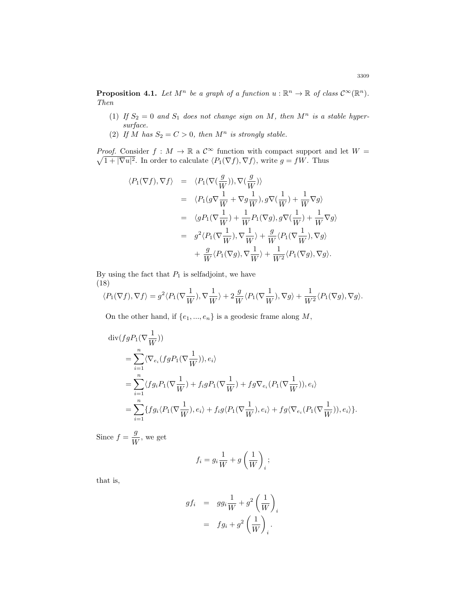**Proposition 4.1.** Let  $M^n$  be a graph of a function  $u : \mathbb{R}^n \to \mathbb{R}$  of class  $\mathcal{C}^{\infty}(\mathbb{R}^n)$ . Then

- (1) If  $S_2 = 0$  and  $S_1$  does not change sign on M, then  $M^n$  is a stable hypersurface.
- (2) If M has  $S_2 = C > 0$ , then  $M^n$  is strongly stable.

Proof.  $\sqrt{ }$ Consider  $f : M \to \mathbb{R}$  a  $\mathcal{C}^{\infty}$  function with compact support and let  $W =$  $1 + |\nabla u|^2$ . In order to calculate  $\langle P_1(\nabla f), \nabla f \rangle$ , write  $g = fW$ . Thus

$$
\langle P_1(\nabla f), \nabla f \rangle = \langle P_1(\nabla (\frac{g}{W})), \nabla (\frac{g}{W}) \rangle
$$
  
\n
$$
= \langle P_1(g\nabla \frac{1}{W} + \nabla g \frac{1}{W}), g\nabla (\frac{1}{W}) + \frac{1}{W}\nabla g \rangle
$$
  
\n
$$
= \langle gP_1(\nabla \frac{1}{W}) + \frac{1}{W}P_1(\nabla g), g\nabla (\frac{1}{W}) + \frac{1}{W}\nabla g \rangle
$$
  
\n
$$
= g^2 \langle P_1(\nabla \frac{1}{W}), \nabla \frac{1}{W} \rangle + \frac{g}{W} \langle P_1(\nabla \frac{1}{W}), \nabla g \rangle
$$
  
\n
$$
+ \frac{g}{W} \langle P_1(\nabla g), \nabla \frac{1}{W} \rangle + \frac{1}{W^2} \langle P_1(\nabla g), \nabla g \rangle.
$$

By using the fact that  $P_1$  is selfadjoint, we have (18)

<span id="page-8-0"></span>
$$
\langle P_1(\nabla f), \nabla f \rangle = g^2 \langle P_1(\nabla \frac{1}{W}), \nabla \frac{1}{W} \rangle + 2 \frac{g}{W} \langle P_1(\nabla \frac{1}{W}), \nabla g \rangle + \frac{1}{W^2} \langle P_1(\nabla g), \nabla g \rangle.
$$

On the other hand, if  $\{e_1, ..., e_n\}$  is a geodesic frame along M,

$$
\begin{split} &\text{div}(fgP_{1}(\nabla\frac{1}{W}))\\ &=\sum_{i=1}^{n}\langle\nabla_{e_{i}}(fgP_{1}(\nabla\frac{1}{W})),e_{i}\rangle\\ &=\sum_{i=1}^{n}\langle fg_{i}P_{1}(\nabla\frac{1}{W})+f_{i}gP_{1}(\nabla\frac{1}{W})+fg\nabla_{e_{i}}(P_{1}(\nabla\frac{1}{W})),e_{i}\rangle\\ &=\sum_{i=1}^{n}\{fg_{i}\langle P_{1}(\nabla\frac{1}{W}),e_{i}\rangle+f_{i}g\langle P_{1}(\nabla\frac{1}{W}),e_{i}\rangle+fg\langle\nabla_{e_{i}}(P_{1}(\nabla\frac{1}{W})),e_{i}\rangle\}. \end{split}
$$

Since  $f = \frac{g}{W}$ , we get

$$
f_i = g_i \frac{1}{W} + g\left(\frac{1}{W}\right)_i;
$$

that is,

$$
gf_i = gg_i \frac{1}{W} + g^2 \left(\frac{1}{W}\right)_i
$$

$$
= fg_i + g^2 \left(\frac{1}{W}\right)_i.
$$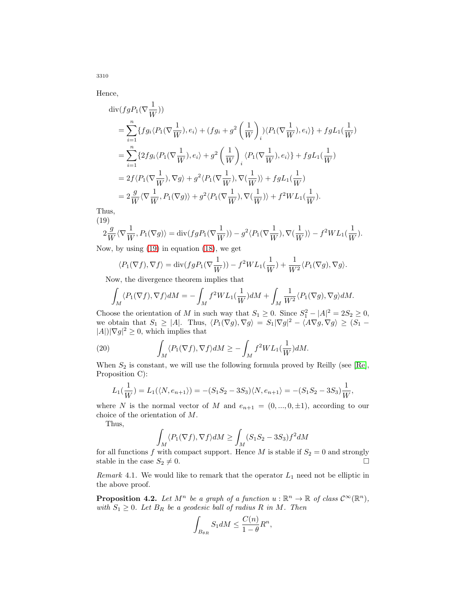Hence,

3310

$$
\begin{split} &\text{div}(fgP_1(\nabla \frac{1}{W}))\\ &=\sum_{i=1}^n\{fg_i\langle P_1(\nabla \frac{1}{W}),e_i\rangle+(fg_i+g^2\left(\frac{1}{W}\right)_i)\langle P_1(\nabla \frac{1}{W}),e_i\rangle\}+fgL_1(\frac{1}{W})\\ &=\sum_{i=1}^n\{2fg_i\langle P_1(\nabla \frac{1}{W}),e_i\rangle+g^2\left(\frac{1}{W}\right)_i\langle P_1(\nabla \frac{1}{W}),e_i\rangle\}+fgL_1(\frac{1}{W})\\ &=2f\langle P_1(\nabla \frac{1}{W}),\nabla g\rangle+g^2\langle P_1(\nabla \frac{1}{W}),\nabla(\frac{1}{W})\rangle+fgL_1(\frac{1}{W})\\ &=2\frac{g}{W}\langle \nabla \frac{1}{W},P_1(\nabla g)\rangle+g^2\langle P_1(\nabla \frac{1}{W}),\nabla(\frac{1}{W})\rangle+f^2WL_1(\frac{1}{W}). \end{split}
$$

<span id="page-9-0"></span>Thus, (19)

$$
2\frac{g}{W}\langle \nabla \frac{1}{W}, P_1(\nabla g)\rangle = \text{div}(fgP_1(\nabla \frac{1}{W})) - g^2\langle P_1(\nabla \frac{1}{W}), \nabla(\frac{1}{W})\rangle - f^2WL_1(\frac{1}{W}).
$$

Now, by using [\(19\)](#page-9-0) in equation [\(18\)](#page-8-0), we get

$$
\langle P_1(\nabla f), \nabla f \rangle = \text{div}(fgP_1(\nabla \frac{1}{W})) - f^2 WL_1(\frac{1}{W}) + \frac{1}{W^2} \langle P_1(\nabla g), \nabla g \rangle.
$$

Now, the divergence theorem implies that

$$
\int_M \langle P_1(\nabla f), \nabla f \rangle dM = -\int_M f^2 WL_1(\frac{1}{W})dM + \int_M \frac{1}{W^2} \langle P_1(\nabla g), \nabla g \rangle dM.
$$

Choose the orientation of M in such way that  $S_1 \geq 0$ . Since  $S_1^2 - |A|^2 = 2S_2 \geq 0$ , we obtain that  $S_1 \geq |A|$ . Thus,  $\langle P_1(\nabla g), \nabla g \rangle = S_1 |\nabla g|^2 - \langle A \nabla g, \nabla g \rangle \geq (S_1 |A|$ )| $\nabla g|^2 \geq 0$ , which implies that

(20) 
$$
\int_M \langle P_1(\nabla f), \nabla f \rangle dM \geq -\int_M f^2 WL_1(\frac{1}{W}) dM.
$$

When  $S_2$  is constant, we will use the following formula proved by Reilly (see [\[Re\]](#page-11-6), Proposition C):

$$
L_1(\frac{1}{W}) = L_1(\langle N, e_{n+1} \rangle) = -(S_1S_2 - 3S_3)\langle N, e_{n+1} \rangle = -(S_1S_2 - 3S_3)\frac{1}{W},
$$

where N is the normal vector of M and  $e_{n+1} = (0, ..., 0, \pm 1)$ , according to our choice of the orientation of M.

Thus,

$$
\int_{M} \langle P_1(\nabla f), \nabla f \rangle dM \ge \int_{M} (S_1 S_2 - 3S_3) f^2 dM
$$

for all functions f with compact support. Hence M is stable if  $S_2 = 0$  and strongly stable in the case  $S_2 \neq 0$ .  $\Box$ 

Remark 4.1. We would like to remark that the operator  $L_1$  need not be elliptic in the above proof.

**Proposition 4.2.** Let  $M^n$  be a graph of a function  $u : \mathbb{R}^n \to \mathbb{R}$  of class  $\mathcal{C}^{\infty}(\mathbb{R}^n)$ , with  $S_1 \geq 0$ . Let  $B_R$  be a geodesic ball of radius R in M. Then

$$
\int_{B_{\theta R}} S_1 dM \le \frac{C(n)}{1-\theta} R^n,
$$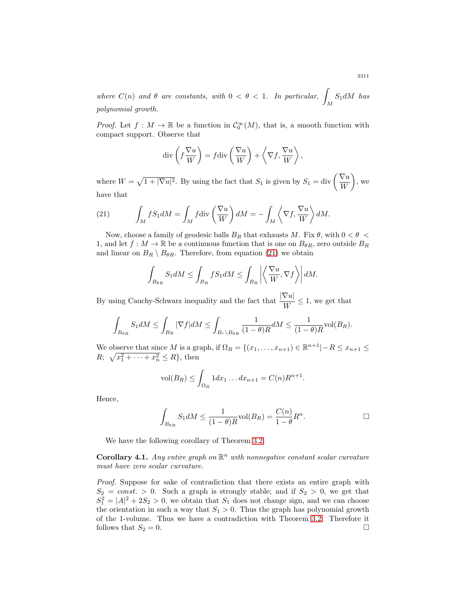where  $C(n)$  and  $\theta$  are constants, with  $0 < \theta < 1$ . In particular,  $\int_M S_1 dM$  has polynomial growth.

*Proof.* Let  $f : M \to \mathbb{R}$  be a function in  $\mathcal{C}_0^{\infty}(M)$ , that is, a smooth function with compact support. Observe that

$$
\operatorname{div}\left(f\frac{\nabla u}{W}\right) = f\operatorname{div}\left(\frac{\nabla u}{W}\right) + \left\langle \nabla f, \frac{\nabla u}{W} \right\rangle,
$$

where  $W = \sqrt{1 + |\nabla u|^2}$ . By using the fact that  $S_1$  is given by  $S_1 = \text{div} \left( \frac{\nabla u}{W} \right)$  $\overline{ }$ , we have that

<span id="page-10-1"></span>(21) 
$$
\int_M f S_1 dM = \int_M f \operatorname{div} \left( \frac{\nabla u}{W} \right) dM = - \int_M \left\langle \nabla f, \frac{\nabla u}{W} \right\rangle dM.
$$

Now, choose a family of geodesic balls  $B_R$  that exhausts M. Fix  $\theta$ , with  $0 < \theta <$ 1, and let  $f : M \to \mathbb{R}$  be a continuous function that is one on  $B_{\theta R}$ , zero outside  $B_R$ and linear on  $B_R \setminus B_{\theta R}$ . Therefore, from equation [\(21\)](#page-10-1) we obtain

$$
\int_{B_{\theta R}} S_1 dM \le \int_{B_R} f S_1 dM \le \int_{B_R} \left| \left\langle \frac{\nabla u}{W}, \nabla f \right\rangle \right| dM.
$$

By using Cauchy-Schwarz inequality and the fact that  $\frac{|\nabla u|}{W} \leq 1$ , we get that

$$
\int_{B_{\theta R}} S_1 dM \le \int_{B_R} |\nabla f| dM \le \int_{B_r \setminus B_{\theta R}} \frac{1}{(1-\theta)R} dM \le \frac{1}{(1-\theta)R} \text{vol}(B_R).
$$

We observe that since M is a graph, if  $\Omega_R = \{(x_1, \ldots, x_{n+1}) \in \mathbb{R}^{n+1} | -R \le x_{n+1} \le$  $R; \ \sqrt{x_1^2 + \cdots + x_n^2} \le R\},\$  then

$$
\text{vol}(B_R) \le \int_{\Omega_R} 1 dx_1 \dots dx_{n+1} = C(n)R^{n+1}.
$$

Hence,

$$
\int_{B_{\theta R}} S_1 dM \le \frac{1}{(1-\theta)R} \text{vol}(B_R) = \frac{C(n)}{1-\theta} R^n.
$$

We have the following corollary of Theorem [3.2.](#page-7-0)

<span id="page-10-0"></span>**Corollary 4.1.** Any entire graph on  $\mathbb{R}^n$  with nonnegative constant scalar curvature must have zero scalar curvature.

Proof. Suppose for sake of contradiction that there exists an entire graph with  $S_2 = const. > 0$ . Such a graph is strongly stable; and if  $S_2 > 0$ , we get that  $S_1^2 = |A|^2 + 2S_2 > 0$ , we obtain that  $S_1$  does not change sign, and we can choose the orientation in such a way that  $S_1 > 0$ . Thus the graph has polynomial growth of the 1-volume. Thus we have a contradiction with Theorem [3.2.](#page-7-0) Therefore it follows that  $S_2 = 0$ .